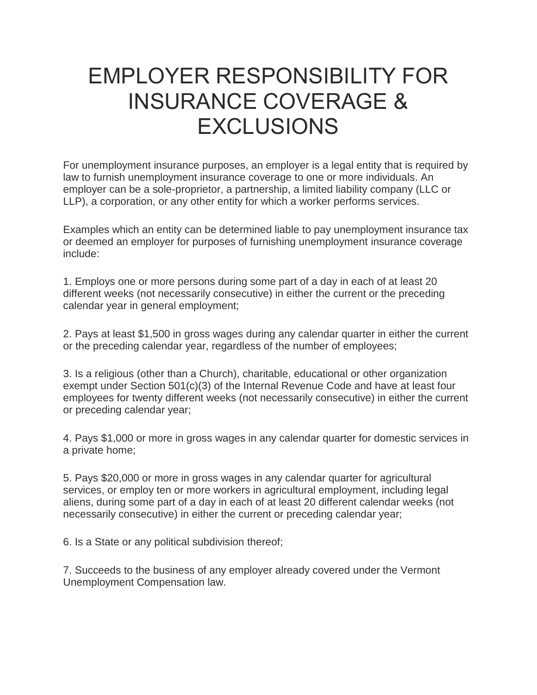## EMPLOYER RESPONSIBILITY FOR INSURANCE COVERAGE & EXCLUSIONS

For unemployment insurance purposes, an employer is a legal entity that is required by law to furnish unemployment insurance coverage to one or more individuals. An employer can be a sole-proprietor, a partnership, a limited liability company (LLC or LLP), a corporation, or any other entity for which a worker performs services.

Examples which an entity can be determined liable to pay unemployment insurance tax or deemed an employer for purposes of furnishing unemployment insurance coverage include:

1. Employs one or more persons during some part of a day in each of at least 20 different weeks (not necessarily consecutive) in either the current or the preceding calendar year in general employment;

2. Pays at least \$1,500 in gross wages during any calendar quarter in either the current or the preceding calendar year, regardless of the number of employees;

3. Is a religious (other than a Church), charitable, educational or other organization exempt under Section 501(c)(3) of the Internal Revenue Code and have at least four employees for twenty different weeks (not necessarily consecutive) in either the current or preceding calendar year;

4. Pays \$1,000 or more in gross wages in any calendar quarter for domestic services in a private home;

5. Pays \$20,000 or more in gross wages in any calendar quarter for agricultural services, or employ ten or more workers in agricultural employment, including legal aliens, during some part of a day in each of at least 20 different calendar weeks (not necessarily consecutive) in either the current or preceding calendar year;

6. Is a State or any political subdivision thereof;

7. Succeeds to the business of any employer already covered under the Vermont Unemployment Compensation law.